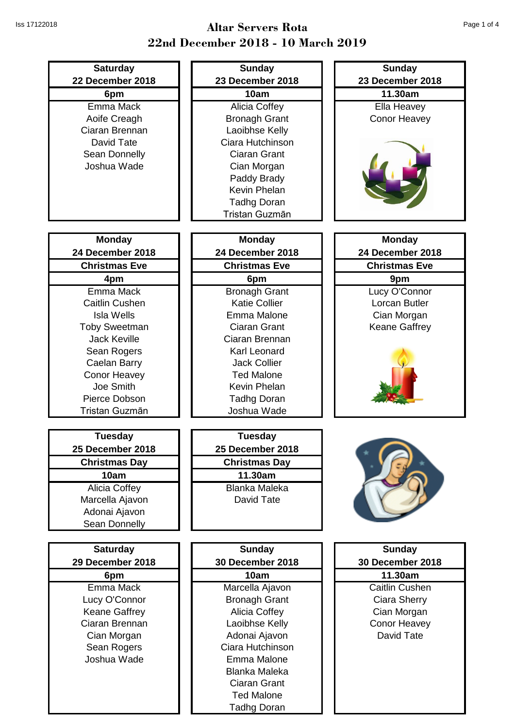| <b>Saturday</b>                   | <b>Sunday</b>                                | <b>Sunday</b>                     |
|-----------------------------------|----------------------------------------------|-----------------------------------|
| 22 December 2018                  | 23 December 2018                             | 23 December 2018                  |
| 6pm                               | 10am                                         | 11.30am                           |
| Emma Mack                         | Alicia Coffey                                | Ella Heavey                       |
| Aoife Creagh                      | <b>Bronagh Grant</b>                         | <b>Conor Heavey</b>               |
| Ciaran Brennan                    | Laoibhse Kelly                               |                                   |
| David Tate                        | Ciara Hutchinson                             |                                   |
| Sean Donnelly                     | <b>Ciaran Grant</b>                          |                                   |
| Joshua Wade                       | Cian Morgan                                  |                                   |
|                                   | Paddy Brady                                  |                                   |
|                                   | <b>Kevin Phelan</b>                          |                                   |
|                                   | <b>Tadhg Doran</b>                           |                                   |
|                                   | Tristan Guzmān                               |                                   |
|                                   |                                              |                                   |
| <b>Monday</b><br>24 December 2018 | <b>Monday</b><br>24 December 2018            | <b>Monday</b><br>24 December 2018 |
| <b>Christmas Eve</b>              | <b>Christmas Eve</b>                         | <b>Christmas Eve</b>              |
|                                   |                                              |                                   |
| 4pm<br>Emma Mack                  | 6pm                                          | 9pm                               |
| <b>Caitlin Cushen</b>             | <b>Bronagh Grant</b><br><b>Katie Collier</b> | Lucy O'Connor<br>Lorcan Butler    |
| <b>Isla Wells</b>                 | Emma Malone                                  | Cian Morgan                       |
| <b>Toby Sweetman</b>              | <b>Ciaran Grant</b>                          | Keane Gaffrey                     |
| <b>Jack Keville</b>               | Ciaran Brennan                               |                                   |
| Sean Rogers                       | Karl Leonard                                 |                                   |
| Caelan Barry                      | <b>Jack Collier</b>                          |                                   |
| <b>Conor Heavey</b>               | <b>Ted Malone</b>                            |                                   |
| Joe Smith                         | Kevin Phelan                                 |                                   |
| Pierce Dobson                     | <b>Tadhg Doran</b>                           |                                   |
| Tristan Guzmān                    | Joshua Wade                                  |                                   |
|                                   |                                              |                                   |
| <b>Tuesday</b>                    | <b>Tuesday</b>                               |                                   |
| 25 December 2018                  | 25 December 2018                             |                                   |
| <b>Christmas Day</b>              | <b>Christmas Day</b>                         |                                   |
| 10am                              | 11.30am                                      |                                   |
| <b>Alicia Coffey</b>              | <b>Blanka Maleka</b>                         |                                   |
| Marcella Ajavon                   | David Tate                                   |                                   |
| Adonai Ajavon                     |                                              |                                   |
| Sean Donnelly                     |                                              |                                   |
|                                   |                                              |                                   |
| <b>Saturday</b>                   | <b>Sunday</b>                                | <b>Sunday</b>                     |
| 29 December 2018                  | 30 December 2018                             | 30 December 2018                  |
| 6pm                               | 10am                                         | 11.30am                           |
| Emma Mack                         | Marcella Ajavon                              | <b>Caitlin Cushen</b>             |
| Lucy O'Connor                     | <b>Bronagh Grant</b>                         | Ciara Sherry                      |
| <b>Keane Gaffrey</b>              | Alicia Coffey                                | Cian Morgan                       |
| Ciaran Brennan                    | Laoibhse Kelly                               | <b>Conor Heavey</b>               |
| Cian Morgan                       | Adonai Ajavon                                | David Tate                        |
| Sean Rogers                       | Ciara Hutchinson                             |                                   |
| Joshua Wade                       | Emma Malone                                  |                                   |
|                                   | <b>Blanka Maleka</b>                         |                                   |
|                                   | Ciaran Grant                                 |                                   |
|                                   | <b>Ted Malone</b>                            |                                   |
|                                   | <b>Tadhg Doran</b>                           |                                   |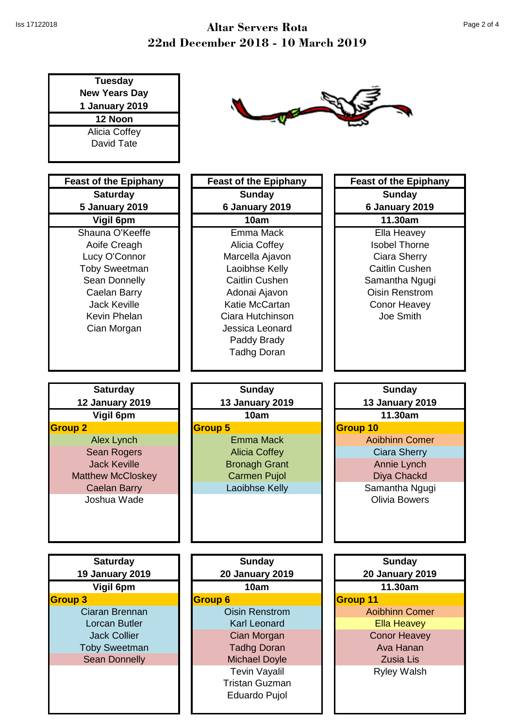| <b>Tuesday</b><br><b>New Years Day</b><br>1 January 2019<br>12 Noon<br>Alicia Coffey<br>David Tate |                              |                              |
|----------------------------------------------------------------------------------------------------|------------------------------|------------------------------|
| <b>Feast of the Epiphany</b>                                                                       | <b>Feast of the Epiphany</b> | <b>Feast of the Epiphany</b> |
| <b>Saturday</b>                                                                                    | <b>Sunday</b>                | <b>Sunday</b>                |
| <b>5 January 2019</b>                                                                              | 6 January 2019               | 6 January 2019               |
| Vigil 6pm                                                                                          | 10am                         | 11.30am                      |
| Shauna O'Keeffe                                                                                    | Emma Mack                    | Ella Heavey                  |
| Aoife Creagh                                                                                       | Alicia Coffey                | <b>Isobel Thorne</b>         |
| Lucy O'Connor                                                                                      | Marcella Ajavon              | Ciara Sherry                 |
| <b>Toby Sweetman</b>                                                                               | Laoibhse Kelly               | Caitlin Cushen               |
| Sean Donnelly                                                                                      | Caitlin Cushen               | Samantha Ngugi               |
| Caelan Barry                                                                                       | Adonai Ajavon                | <b>Oisin Renstrom</b>        |
| <b>Jack Keville</b>                                                                                | Katie McCartan               | <b>Conor Heavey</b>          |
| Kevin Phelan                                                                                       | Ciara Hutchinson             | Joe Smith                    |
| Cian Morgan                                                                                        | Jessica Leonard              |                              |
|                                                                                                    | Paddy Brady                  |                              |
|                                                                                                    | <b>Tadhg Doran</b>           |                              |
|                                                                                                    |                              |                              |
| <b>Saturday</b>                                                                                    | <b>Sunday</b>                | <b>Sunday</b>                |
| <b>12 January 2019</b>                                                                             | <b>13 January 2019</b>       | <b>13 January 2019</b>       |
| Vigil 6pm                                                                                          | 10am                         | 11.30am                      |
| <b>Group 2</b>                                                                                     | <b>Group 5</b>               | Group 10                     |
| <b>Alex Lynch</b>                                                                                  | <b>Emma Mack</b>             | <b>Aoibhinn Comer</b>        |
| Sean Rogers                                                                                        | <b>Alicia Coffey</b>         | <b>Ciara Sherry</b>          |
| <b>Jack Keville</b>                                                                                | <b>Bronagh Grant</b>         | Annie Lynch                  |
| <b>Matthew McCloskey</b>                                                                           | <b>Carmen Pujol</b>          | Diya Chackd                  |
| <b>Caelan Barry</b>                                                                                | Laoibhse Kelly               | Samantha Ngugi               |
| Joshua Wade                                                                                        |                              | <b>Olivia Bowers</b>         |
|                                                                                                    |                              |                              |
|                                                                                                    |                              |                              |
|                                                                                                    |                              |                              |
| <b>Saturday</b>                                                                                    | <b>Sunday</b>                | <b>Sunday</b>                |
| <b>19 January 2019</b>                                                                             | <b>20 January 2019</b>       | <b>20 January 2019</b>       |
| Vigil 6pm                                                                                          | 10am                         | 11.30am                      |
| <b>Group 3</b>                                                                                     | <b>Group 6</b>               | <b>Group 11</b>              |
| Ciaran Brennan                                                                                     | <b>Oisin Renstrom</b>        | <b>Aoibhinn Comer</b>        |
| Lorcan Butler                                                                                      | <b>Karl Leonard</b>          | <b>Ella Heavey</b>           |
| <b>Jack Collier</b>                                                                                | Cian Morgan                  | <b>Conor Heavey</b>          |
| <b>Toby Sweetman</b>                                                                               | <b>Tadhg Doran</b>           | Ava Hanan                    |
| <b>Sean Donnelly</b>                                                                               | <b>Michael Doyle</b>         | <b>Zusia Lis</b>             |
|                                                                                                    | <b>Tevin Vayalil</b>         | <b>Ryley Walsh</b>           |
|                                                                                                    | <b>Tristan Guzman</b>        |                              |
|                                                                                                    | Eduardo Pujol                |                              |
|                                                                                                    |                              |                              |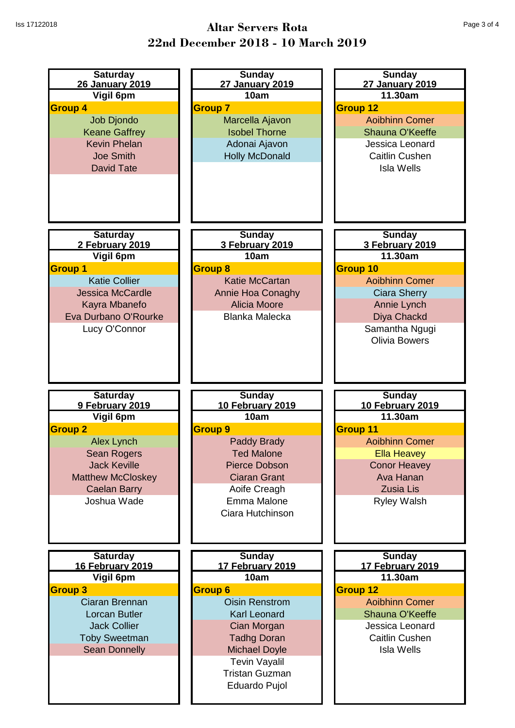| <b>Saturday</b><br>26 January 2019<br>Vigil 6pm<br><b>Group 4</b><br><b>Job Djondo</b><br><b>Keane Gaffrey</b><br><b>Kevin Phelan</b><br><b>Joe Smith</b><br><b>David Tate</b>                 | <b>Sunday</b><br>27 January 2019<br>10am<br><b>Group 7</b><br>Marcella Ajavon<br><b>Isobel Thorne</b><br>Adonai Ajavon<br><b>Holly McDonald</b>                                                                                                   | <b>Sunday</b><br>27 January 2019<br>11.30am<br><b>Group 12</b><br><b>Aoibhinn Comer</b><br><b>Shauna O'Keeffe</b><br>Jessica Leonard<br><b>Caitlin Cushen</b><br><b>Isla Wells</b>           |
|------------------------------------------------------------------------------------------------------------------------------------------------------------------------------------------------|---------------------------------------------------------------------------------------------------------------------------------------------------------------------------------------------------------------------------------------------------|----------------------------------------------------------------------------------------------------------------------------------------------------------------------------------------------|
| <b>Saturday</b><br>2 February 2019<br>Vigil 6pm<br><b>Group 1</b><br><b>Katie Collier</b><br><b>Jessica McCardle</b><br>Kayra Mbanefo<br>Eva Durbano O'Rourke<br>Lucy O'Connor                 | <b>Sunday</b><br>3 February 2019<br>10am<br><b>Group 8</b><br><b>Katie McCartan</b><br>Annie Hoa Conaghy<br><b>Alicia Moore</b><br><b>Blanka Malecka</b>                                                                                          | <b>Sunday</b><br>3 February 2019<br>11.30am<br>Group 10<br><b>Aoibhinn Comer</b><br><b>Ciara Sherry</b><br>Annie Lynch<br>Diya Chackd<br>Samantha Ngugi<br><b>Olivia Bowers</b>              |
| <b>Saturday</b><br>9 February 2019<br>Vigil 6pm<br><b>Group 2</b><br><b>Alex Lynch</b><br>Sean Rogers<br><b>Jack Keville</b><br><b>Matthew McCloskey</b><br><b>Caelan Barry</b><br>Joshua Wade | <b>Sunday</b><br>10 February 2019<br>10am<br><b>Group 9</b><br><b>Paddy Brady</b><br><b>Ted Malone</b><br><b>Pierce Dobson</b><br><b>Ciaran Grant</b><br>Aoife Creagh<br>Emma Malone<br>Ciara Hutchinson                                          | <b>Sunday</b><br>10 February 2019<br>11.30am<br><b>Group 11</b><br><b>Aoibhinn Comer</b><br><b>Ella Heavey</b><br><b>Conor Heavey</b><br>Ava Hanan<br><b>Zusia Lis</b><br><b>Ryley Walsh</b> |
| <b>Saturday</b><br><b>16 February 2019</b><br>Vigil 6pm<br><b>Group 3</b><br>Ciaran Brennan<br>Lorcan Butler<br><b>Jack Collier</b><br><b>Toby Sweetman</b><br><b>Sean Donnelly</b>            | <b>Sunday</b><br>17 February 2019<br>10am<br><b>Group 6</b><br><b>Oisin Renstrom</b><br><b>Karl Leonard</b><br>Cian Morgan<br><b>Tadhg Doran</b><br><b>Michael Doyle</b><br><b>Tevin Vayalil</b><br><b>Tristan Guzman</b><br><b>Eduardo Pujol</b> | <b>Sunday</b><br><b>17 February 2019</b><br>11.30am<br><b>Group 12</b><br><b>Aoibhinn Comer</b><br>Shauna O'Keeffe<br>Jessica Leonard<br><b>Caitlin Cushen</b><br><b>Isla Wells</b>          |